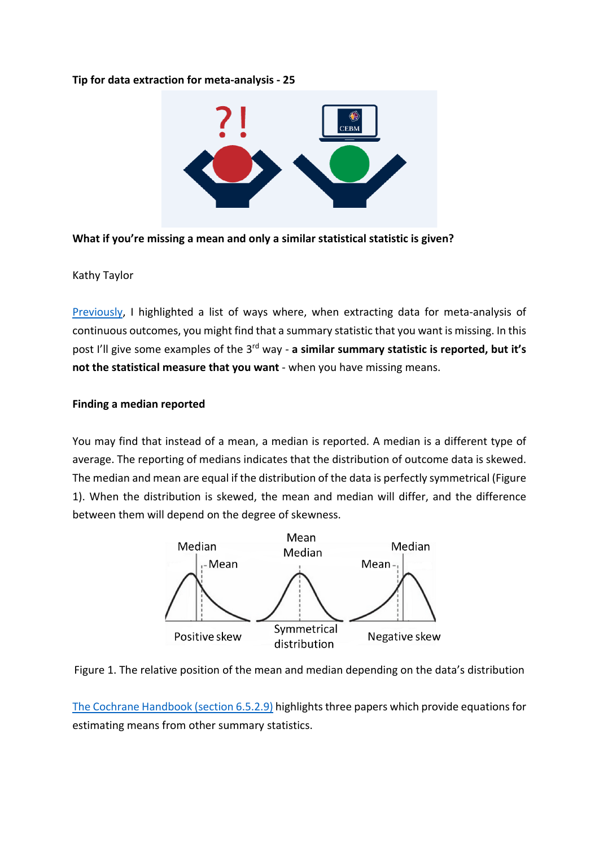### **Tip for data extraction for meta-analysis - 25**



**What if you're missing a mean and only a similar statistical statistic is given?**

## Kathy Taylor

[Previously,](https://bit.ly/2OLklII) I highlighted a list of ways where, when extracting data for meta-analysis of continuous outcomes, you might find that a summary statistic that you want is missing. In this post I'll give some examples of the 3rd way - **a similar summary statistic is reported, but it's not the statistical measure that you want** - when you have missing means.

## **Finding a median reported**

You may find that instead of a mean, a median is reported. A median is a different type of average. The reporting of medians indicates that the distribution of outcome data is skewed. The median and mean are equal if the distribution of the data is perfectly symmetrical (Figure 1). When the distribution is skewed, the mean and median will differ, and the difference between them will depend on the degree of skewness.





[The Cochrane Handbook \(section 6.5.2.9\)](https://training.cochrane.org/handbook/current/chapter-06#section-6-5-2-9) highlights three papers which provide equations for estimating means from other summary statistics.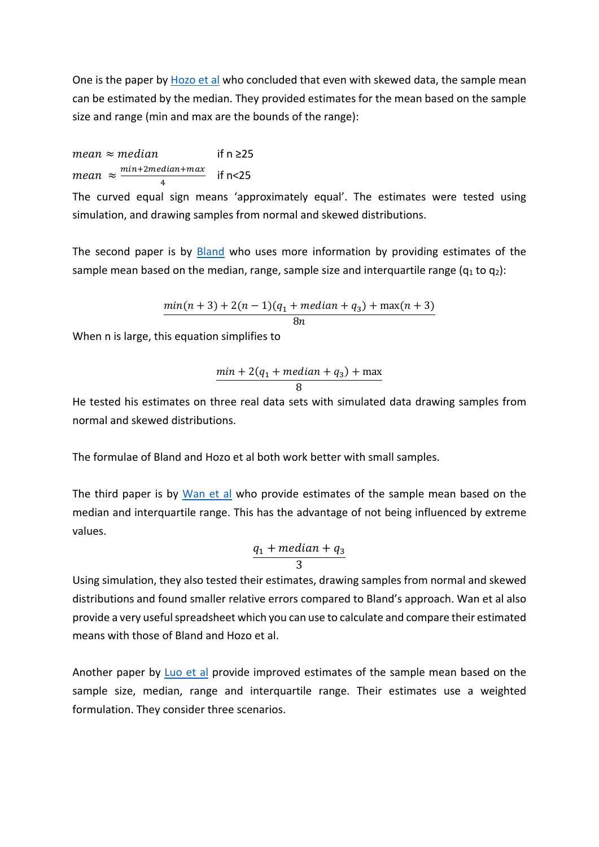One is the paper b[y Hozo et al](https://www.ncbi.nlm.nih.gov/pubmed/15840177) who concluded that even with skewed data, the sample mean can be estimated by the median. They provided estimates for the mean based on the sample size and range (min and max are the bounds of the range):

 $mean \approx median$  if n ≥25  $mean \approx \frac{mn+2median+max}{4}$  if n<25

The curved equal sign means 'approximately equal'. The estimates were tested using simulation, and drawing samples from normal and skewed distributions.

The second paper is by [Bland](https://pdfs.semanticscholar.org/59dd/526a4335850fcb364c92bb6f4eb879fb6e59.pdf) who uses more information by providing estimates of the sample mean based on the median, range, sample size and interquartile range  $(q_1 \text{ to } q_2)$ :

$$
\frac{\min(n+3) + 2(n-1)(q_1 + \text{median} + q_3) + \max(n+3)}{8n}
$$

When n is large, this equation simplifies to

$$
\frac{min + 2(q_1 + median + q_3) + max}{8}
$$

He tested his estimates on three real data sets with simulated data drawing samples from normal and skewed distributions.

The formulae of Bland and Hozo et al both work better with small samples.

The third paper is by [Wan et al](https://www.ncbi.nlm.nih.gov/pubmed/25524443) who provide estimates of the sample mean based on the median and interquartile range. This has the advantage of not being influenced by extreme values.

$$
\frac{q_1 + \text{median} + q_3}{3}
$$

Using simulation, they also tested their estimates, drawing samples from normal and skewed distributions and found smaller relative errors compared to Bland's approach. Wan et al also provide a very useful spreadsheet which you can use to calculate and compare their estimated means with those of Bland and Hozo et al.

Another paper by [Luo et al](https://pubmed.ncbi.nlm.nih.gov/27683581/) provide improved estimates of the sample mean based on the sample size, median, range and interquartile range. Their estimates use a weighted formulation. They consider three scenarios.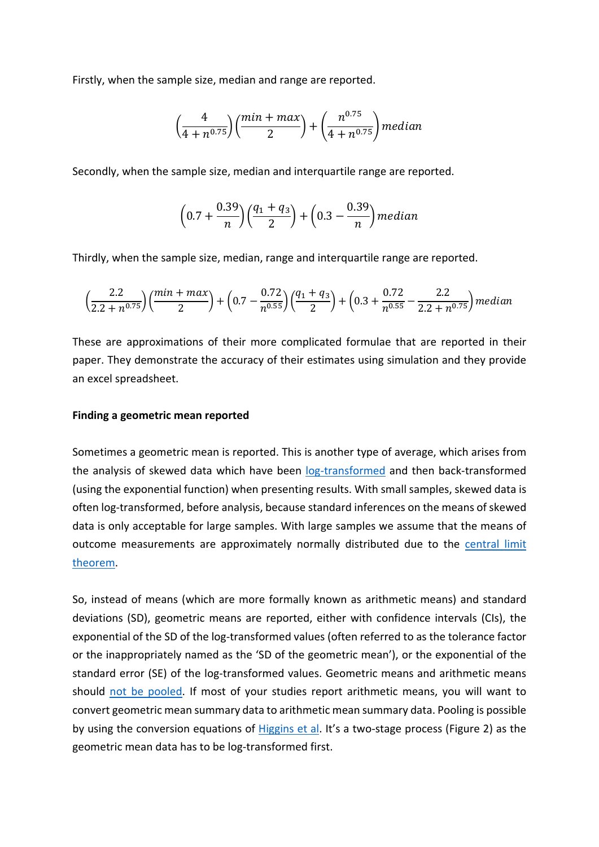Firstly, when the sample size, median and range are reported.

$$
\left(\frac{4}{4+n^{0.75}}\right)\left(\frac{min + max}{2}\right) + \left(\frac{n^{0.75}}{4+n^{0.75}}\right) median
$$

Secondly, when the sample size, median and interquartile range are reported.

$$
\left(0.7 + \frac{0.39}{n}\right)\left(\frac{q_1 + q_3}{2}\right) + \left(0.3 - \frac{0.39}{n}\right) median
$$

Thirdly, when the sample size, median, range and interquartile range are reported.

$$
\left(\frac{2.2}{2.2+n^{0.75}}\right) \left(\frac{min+max}{2}\right) + \left(0.7 - \frac{0.72}{n^{0.55}}\right) \left(\frac{q_1+q_3}{2}\right) + \left(0.3 + \frac{0.72}{n^{0.55}} - \frac{2.2}{2.2+n^{0.75}}\right) median
$$

These are approximations of their more complicated formulae that are reported in their paper. They demonstrate the accuracy of their estimates using simulation and they provide an excel spreadsheet.

### **Finding a geometric mean reported**

Sometimes a geometric mean is reported. This is another type of average, which arises from the analysis of skewed data which have been [log-transformed](https://bit.ly/2ueyQem) and then back-transformed (using the exponential function) when presenting results. With small samples, skewed data is often log-transformed, before analysis, because standard inferences on the means of skewed data is only acceptable for large samples. With large samples we assume that the means of outcome measurements are approximately normally distributed due to the [central limit](https://www.statisticshowto.datasciencecentral.com/probability-and-statistics/normal-distributions/central-limit-theorem-definition-examples/)  [theorem.](https://www.statisticshowto.datasciencecentral.com/probability-and-statistics/normal-distributions/central-limit-theorem-definition-examples/)

So, instead of means (which are more formally known as arithmetic means) and standard deviations (SD), geometric means are reported, either with confidence intervals (CIs), the exponential of the SD of the log-transformed values (often referred to as the tolerance factor or the inappropriately named as the 'SD of the geometric mean'), or the exponential of the standard error (SE) of the log-transformed values. Geometric means and arithmetic means should [not be pooled.](https://training.cochrane.org/handbook/current/chapter-10#section-10-5-3) If most of your studies report arithmetic means, you will want to convert geometric mean summary data to arithmetic mean summary data. Pooling is possible by using the conversion equations of [Higgins et al.](https://www.ncbi.nlm.nih.gov/pubmed/18800342) It's a two-stage process (Figure 2) as the geometric mean data has to be log-transformed first.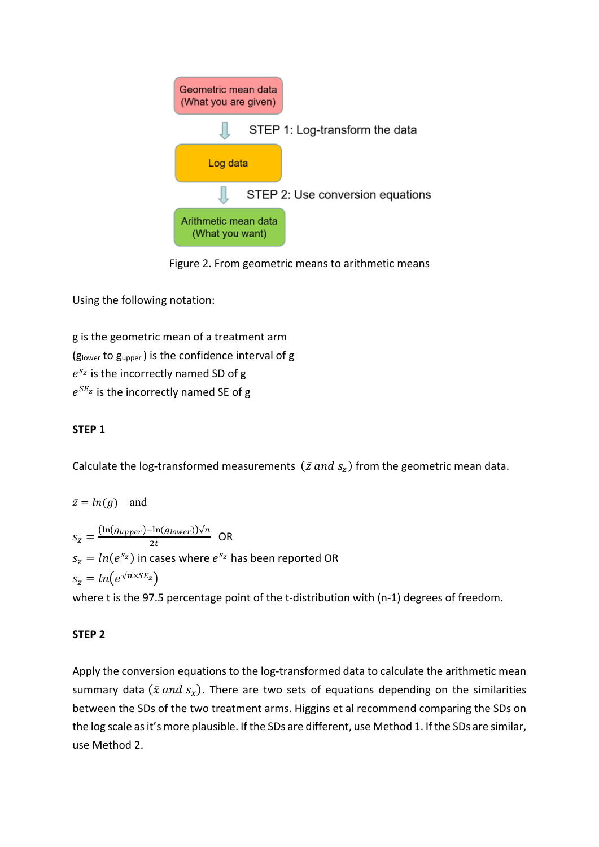

Figure 2. From geometric means to arithmetic means

Using the following notation:

g is the geometric mean of a treatment arm (glower to gupper ) is the confidence interval of g  $e^{s_z}$  is the incorrectly named SD of g  $e^{SE_z}$  is the incorrectly named SE of g

# **STEP 1**

Calculate the log-transformed measurements  $(\bar{z}$  and  $s_z)$  from the geometric mean data.

 $\bar{z} = ln(g)$  and  $S_Z = \frac{(\ln(g_{upper}) - \ln(g_{lower}))\sqrt{n}}{2t}$  OR  $s_z = ln(e^{s_z})$  in cases where  $e^{s_z}$  has been reported OR  $s_z = ln(e^{\sqrt{n} \times SE_z})$ 

where t is the 97.5 percentage point of the t-distribution with (n-1) degrees of freedom.

# **STEP 2**

Apply the conversion equations to the log-transformed data to calculate the arithmetic mean summary data ( $\bar{x}$  and  $s_x$ ). There are two sets of equations depending on the similarities between the SDs of the two treatment arms. Higgins et al recommend comparing the SDs on the log scale as it's more plausible. If the SDs are different, use Method 1. If the SDs are similar, use Method 2.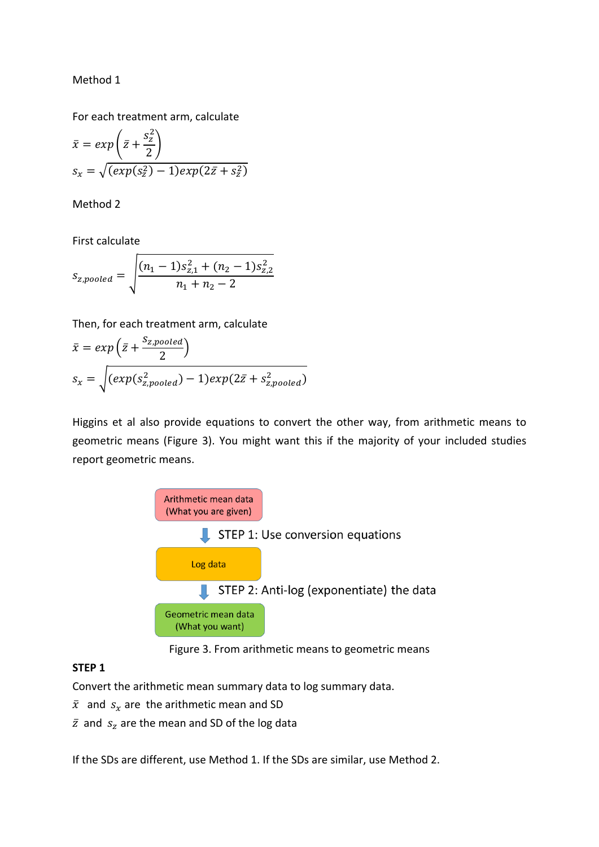Method 1

For each treatment arm, calculate

$$
\bar{x} = exp\left(\bar{z} + \frac{s_z^2}{2}\right)
$$
  
\n
$$
s_x = \sqrt{(exp(s_z^2) - 1)exp(2\bar{z} + s_z^2)}
$$

Method 2

First calculate

$$
s_{z, pooled} = \sqrt{\frac{(n_1 - 1)s_{z,1}^2 + (n_2 - 1)s_{z,2}^2}{n_1 + n_2 - 2}}
$$

Then, for each treatment arm, calculate

$$
\bar{x} = exp\left(\bar{z} + \frac{S_{z, pooled}}{2}\right)
$$

$$
s_x = \sqrt{(exp(s_{z, pooled}^2) - 1)exp(2\bar{z} + s_{z, pooled}^2)}
$$

Higgins et al also provide equations to convert the other way, from arithmetic means to geometric means (Figure 3). You might want this if the majority of your included studies report geometric means.



Figure 3. From arithmetic means to geometric means

### **STEP 1**

Convert the arithmetic mean summary data to log summary data.

- $\bar{x}$  and  $s_x$  are the arithmetic mean and SD
- $\bar{z}$  and  $s_z$  are the mean and SD of the log data

If the SDs are different, use Method 1. If the SDs are similar, use Method 2.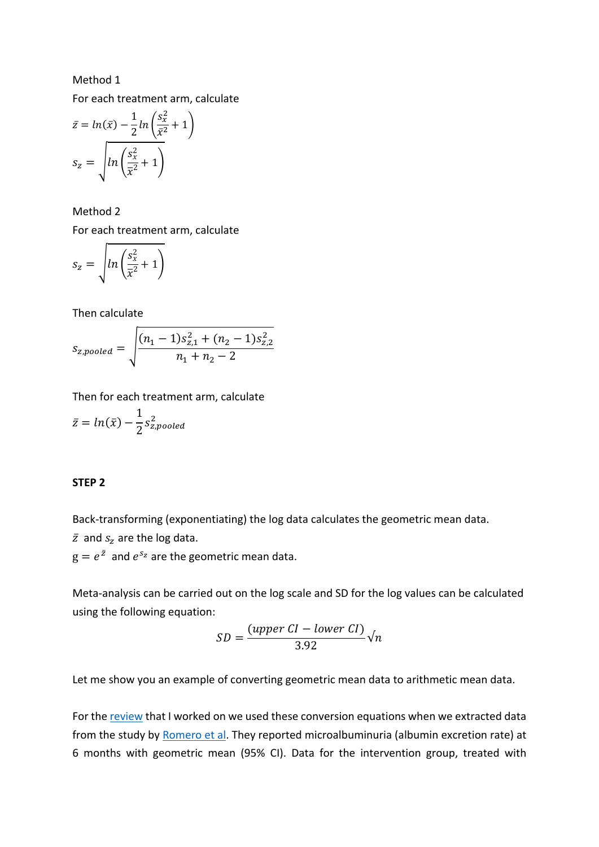#### Method 1

For each treatment arm, calculate

$$
\bar{z} = \ln(\bar{x}) - \frac{1}{2}\ln\left(\frac{s_x^2}{\bar{x}^2} + 1\right)
$$

$$
s_z = \sqrt{\ln\left(\frac{s_x^2}{\bar{x}^2} + 1\right)}
$$

Method 2 For each treatment arm, calculate

$$
s_z = \sqrt{ln\left(\frac{s_x^2}{\overline{x}^2} + 1\right)}
$$

Then calculate

$$
s_{z, pooled} = \sqrt{\frac{(n_1 - 1)s_{z,1}^2 + (n_2 - 1)s_{z,2}^2}{n_1 + n_2 - 2}}
$$

Then for each treatment arm, calculate

$$
\bar{z} = \ln(\bar{x}) - \frac{1}{2} s_{z, pooled}^2
$$

### **STEP 2**

Back-transforming (exponentiating) the log data calculates the geometric mean data.

 $\bar{z}$  and  $s_z$  are the log data.

 $g = e^{\bar{z}}$  and  $e^{s_z}$  are the geometric mean data.

Meta-analysis can be carried out on the log scale and SD for the log values can be calculated using the following equation:

$$
SD = \frac{(upper\ CI - lower\ CI)}{3.92}\sqrt{n}
$$

Let me show you an example of converting geometric mean data to arithmetic mean data.

For the [review](https://www.ncbi.nlm.nih.gov/pubmed/22189841) that I worked on we used these conversion equations when we extracted data from the study by [Romero et al.](https://www.ncbi.nlm.nih.gov/pubmed/8462386) They reported microalbuminuria (albumin excretion rate) at 6 months with geometric mean (95% CI). Data for the intervention group, treated with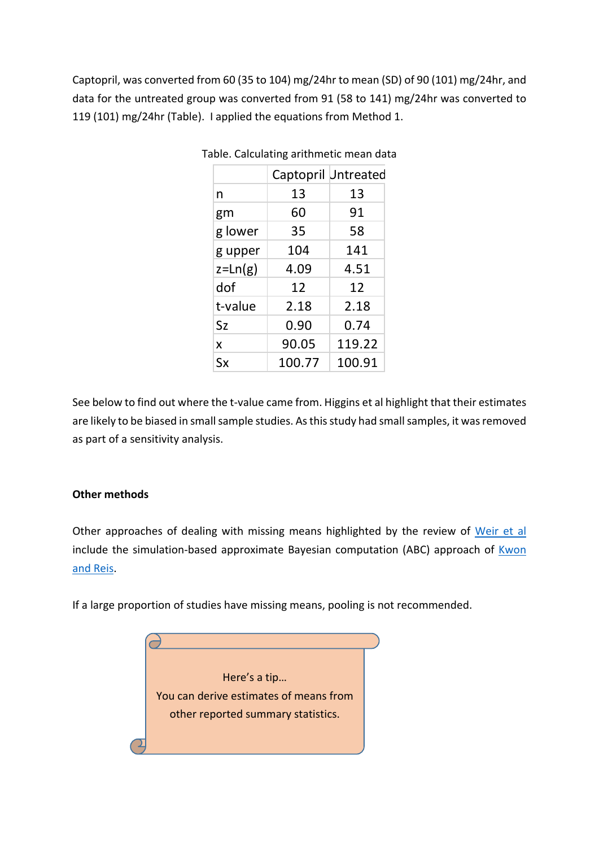Captopril, was converted from 60 (35 to 104) mg/24hr to mean (SD) of 90 (101) mg/24hr, and data for the untreated group was converted from 91 (58 to 141) mg/24hr was converted to 119 (101) mg/24hr (Table). I applied the equations from Method 1.

|             | Captopril Untreated |        |
|-------------|---------------------|--------|
| n           | 13                  | 13     |
| gm          | 60                  | 91     |
| g lower     | 35                  | 58     |
| g upper     | 104                 | 141    |
| $z = Ln(g)$ | 4.09                | 4.51   |
| dof         | 12                  | 12     |
| t-value     | 2.18                | 2.18   |
| Sz          | 0.90                | 0.74   |
| X           | 90.05               | 119.22 |
| Sx          | 100.77              | 100.91 |

Table. Calculating arithmetic mean data

See below to find out where the t-value came from. Higgins et al highlight that their estimates are likely to be biased in small sample studies. As this study had small samples, it was removed as part of a sensitivity analysis.

# **Other methods**

Other approaches of dealing with missing means highlighted by the review of [Weir et al](https://www.ncbi.nlm.nih.gov/pubmed/29514597) include the simulation-based approximate Bayesian computation (ABC) approach of  $Kwon$ [and Reis.](https://www.ncbi.nlm.nih.gov/pubmed/26264850)

If a large proportion of studies have missing means, pooling is not recommended.

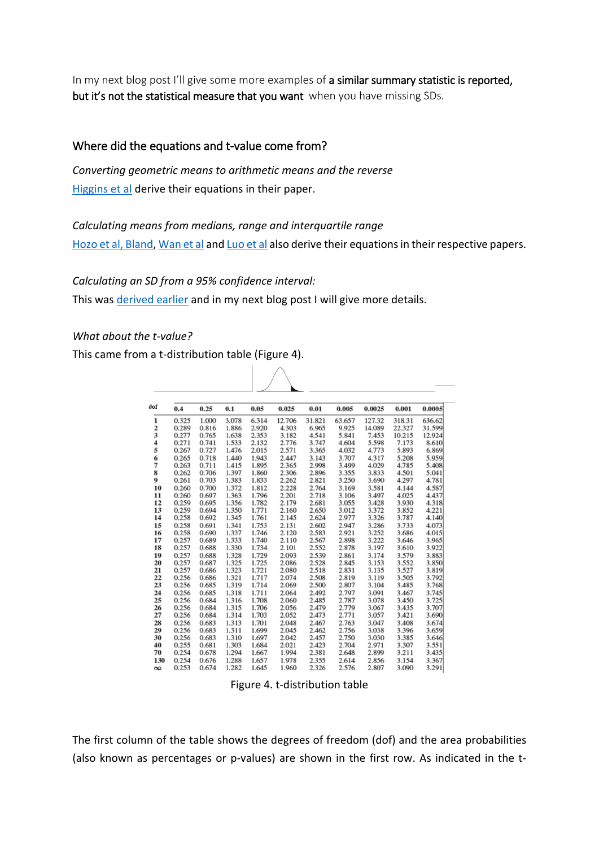In my next blog post I'll give some more examples of a similar summary statistic is reported, but it's not the statistical measure that you want when you have missing SDs.

## Where did the equations and t-value come from?

*Converting geometric means to arithmetic means and the reverse* [Higgins et al](https://www.ncbi.nlm.nih.gov/pubmed/18800342) derive their equations in their paper.

*Calculating means from medians, range and interquartile range* [Hozo et al,](https://www.ncbi.nlm.nih.gov/pubmed/15840177) [Bland,](https://pdfs.semanticscholar.org/59dd/526a4335850fcb364c92bb6f4eb879fb6e59.pdf) [Wan et al](https://www.ncbi.nlm.nih.gov/pubmed/25524443) an[d Luo et al](https://pubmed.ncbi.nlm.nih.gov/27683581/) also derive their equations in their respective papers.

*Calculating an SD from a 95% confidence interval:*

This was [derived earlier](https://bit.ly/2IQot8Y) and in my next blog post I will give more details.

 $\bigwedge$ 

### *What about the t-value?*

This came from a t-distribution table (Figure 4).

| dof           | 0.4   | 0.25  | 0.1   | 0.05  | 0.025  | 0.01   | 0.005  | 0.0025 | 0.001  | 0.0005 |
|---------------|-------|-------|-------|-------|--------|--------|--------|--------|--------|--------|
| 1             | 0.325 | 1.000 | 3.078 | 6.314 | 12.706 | 31.821 | 63.657 | 127.32 | 318.31 | 636.62 |
| $\frac{2}{3}$ | 0.289 | 0.816 | 1.886 | 2.920 | 4.303  | 6.965  | 9.925  | 14.089 | 22.327 | 31.599 |
|               | 0.277 | 0.765 | 1.638 | 2.353 | 3.182  | 4.541  | 5.841  | 7.453  | 10.215 | 12.924 |
| 4             | 0.271 | 0.741 | 1.533 | 2.132 | 2.776  | 3.747  | 4.604  | 5.598  | 7.173  | 8.610  |
| 5             | 0.267 | 0.727 | 1.476 | 2.015 | 2.571  | 3.365  | 4.032  | 4.773  | 5.893  | 6.869  |
| 6             | 0.265 | 0.718 | 1.440 | 1.943 | 2.447  | 3.143  | 3.707  | 4.317  | 5.208  | 5.959  |
| 7             | 0.263 | 0.711 | 1.415 | 1.895 | 2.365  | 2.998  | 3.499  | 4.029  | 4.785  | 5.408  |
| 8             | 0.262 | 0.706 | 1.397 | 1.860 | 2.306  | 2.896  | 3.355  | 3.833  | 4.501  | 5.041  |
| 0             | 0.261 | 0.703 | 1.383 | 1.833 | 2.262  | 2.821  | 3.250  | 3.690  | 4.297  | 4.781  |
| 10            | 0.260 | 0.700 | 1.372 | 1.812 | 2.228  | 2.764  | 3.169  | 3.581  | 4.144  | 4.587  |
| 11            | 0.260 | 0.697 | 1.363 | 1.796 | 2.201  | 2.718  | 3.106  | 3.497  | 4.025  | 4.437  |
| 12            | 0.259 | 0.695 | 1.356 | 1.782 | 2.179  | 2.681  | 3.055  | 3.428  | 3.930  | 4.318  |
| 13            | 0.259 | 0.694 | 1.350 | 1.771 | 2.160  | 2.650  | 3.012  | 3.372  | 3.852  | 4.221  |
| 14            | 0.258 | 0.692 | 1.345 | 1.761 | 2.145  | 2.624  | 2.977  | 3.326  | 3.787  | 4.140  |
| 15            | 0.258 | 0.691 | 1.341 | 1.753 | 2.131  | 2.602  | 2.947  | 3.286  | 3.733  | 4.073  |
| 16            | 0.258 | 0.690 | 1.337 | 1.746 | 2.120  | 2.583  | 2.921  | 3.252  | 3.686  | 4.015  |
| 17            | 0.257 | 0.689 | 1.333 | 1.740 | 2.110  | 2.567  | 2.898  | 3.222  | 3.646  | 3.965  |
| 18            | 0.257 | 0.688 | 1.330 | 1.734 | 2.101  | 2.552  | 2.878  | 3.197  | 3.610  | 3.922  |
| 19            | 0.257 | 0.688 | 1.328 | 1.729 | 2.093  | 2.539  | 2.861  | 3.174  | 3.579  | 3.883  |
| 20            | 0.257 | 0.687 | 1.325 | 1.725 | 2.086  | 2.528  | 2.845  | 3.153  | 3.552  | 3.850  |
| 21            | 0.257 | 0.686 | 1.323 | 1.721 | 2.080  | 2.518  | 2.831  | 3.135  | 3.527  | 3.819  |
| 22            | 0.256 | 0.686 | 1.321 | 1.717 | 2.074  | 2.508  | 2.819  | 3.119  | 3.505  | 3.792  |
| 23            | 0.256 | 0.685 | 1.319 | 1.714 | 2.069  | 2.500  | 2.807  | 3.104  | 3.485  | 3.768  |
| 24            | 0.256 | 0.685 | 1.318 | 1.711 | 2.064  | 2.492  | 2.797  | 3.091  | 3.467  | 3.745  |
| 25            | 0.256 | 0.684 | 1.316 | 1.708 | 2.060  | 2.485  | 2.787  | 3.078  | 3.450  | 3.725  |
| 26            | 0.256 | 0.684 | 1.315 | 1.706 | 2.056  | 2.479  | 2.779  | 3.067  | 3.435  | 3.707  |
| 27            | 0.256 | 0.684 | 1.314 | 1.703 | 2.052  | 2.473  | 2.771  | 3.057  | 3.421  | 3.690  |
| 28            | 0.256 | 0.683 | 1.313 | 1.701 | 2.048  | 2.467  | 2.763  | 3.047  | 3.408  | 3.674  |
| 29            | 0.256 | 0.683 | 1.311 | 1.699 | 2.045  | 2.462  | 2.756  | 3.038  | 3.396  | 3.659  |
| 30            | 0.256 | 0.683 | 1.310 | 1.697 | 2.042  | 2.457  | 2.750  | 3.030  | 3.385  | 3.646  |
| 40            | 0.255 | 0.681 | 1.303 | 1.684 | 2.021  | 2.423  | 2.704  | 2.971  | 3.307  | 3.551  |
| 70            | 0.254 | 0.678 | 1.294 | 1.667 | 1.994  | 2.381  | 2.648  | 2.899  | 3.211  | 3.435  |
| 130           | 0.254 | 0.676 | 1.288 | 1.657 | 1.978  | 2.355  | 2.614  | 2.856  | 3.154  | 3.367  |
| $\infty$      | 0.253 | 0.674 | 1.282 | 1.645 | 1.960  | 2.326  | 2.576  | 2.807  | 3.090  | 3.291  |

Figure 4. t-distribution table

The first column of the table shows the degrees of freedom (dof) and the area probabilities (also known as percentages or p-values) are shown in the first row. As indicated in the t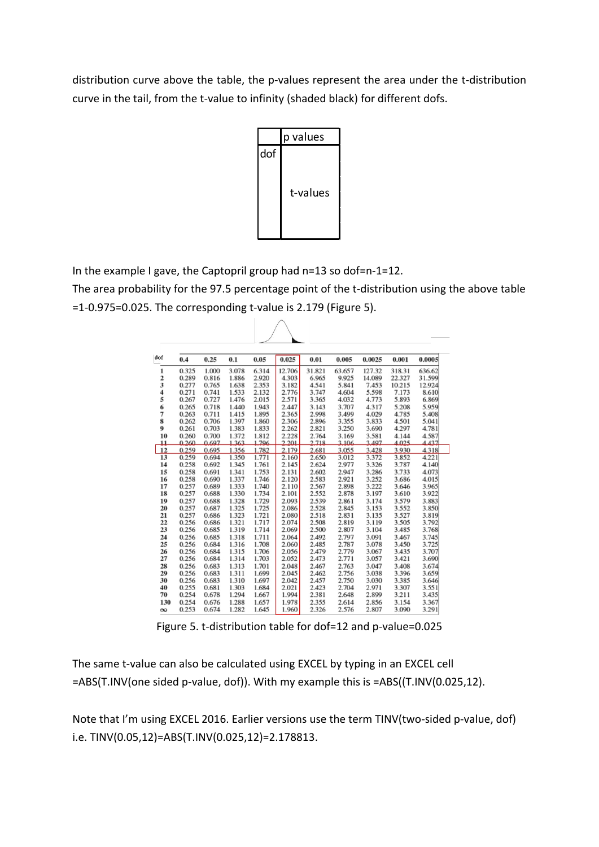distribution curve above the table, the p-values represent the area under the t-distribution curve in the tail, from the t-value to infinity (shaded black) for different dofs.



In the example I gave, the Captopril group had n=13 so dof=n-1=12.

The area probability for the 97.5 percentage point of the t-distribution using the above table =1-0.975=0.025. The corresponding t-value is 2.179 (Figure 5).

 $\bigwedge$ 

| dof           | 0.4   | 0.25  | 0.1   | 0.05  | 0.025  | 0.01   | 0.005  | 0.0025 | 0.001  | 0.0005 |  |
|---------------|-------|-------|-------|-------|--------|--------|--------|--------|--------|--------|--|
| 1             | 0.325 | 1.000 | 3.078 | 6.314 | 12.706 | 31.821 | 63.657 | 127.32 | 318.31 | 636.62 |  |
|               | 0.289 | 0.816 | 1.886 | 2.920 | 4.303  | 6.965  | 9.925  | 14.089 | 22.327 | 31.599 |  |
| $\frac{2}{3}$ | 0.277 | 0.765 | 1.638 | 2.353 | 3.182  | 4.541  | 5.841  | 7.453  | 10.215 | 12.924 |  |
| 4             | 0.271 | 0.741 | 1.533 | 2.132 | 2.776  | 3.747  | 4.604  | 5.598  | 7.173  | 8.610  |  |
| 5             | 0.267 | 0.727 | 1.476 | 2.015 | 2.571  | 3.365  | 4.032  | 4.773  | 5.893  | 6.869  |  |
| 6             | 0.265 | 0.718 | 1.440 | 1.943 | 2.447  | 3.143  | 3.707  | 4.317  | 5.208  | 5.959  |  |
| 7             | 0.263 | 0.711 | 1.415 | 1.895 | 2.365  | 2.998  | 3.499  | 4.029  | 4.785  | 5.408  |  |
| 8             | 0.262 | 0.706 | 1.397 | 1.860 | 2.306  | 2.896  | 3.355  | 3.833  | 4.501  | 5.041  |  |
| 0             | 0.261 | 0.703 | 1.383 | 1.833 | 2.262  | 2.821  | 3.250  | 3.690  | 4.297  | 4.781  |  |
| 10            | 0.260 | 0.700 | 1.372 | 1.812 | 2.228  | 2.764  | 3.169  | 3.581  | 4.144  | 4.587  |  |
| 11            | 0.260 | 0.697 | 1363  | 1796  | 2.201  | 2.718  | 3 106  | 3.497  | 4.025  | 4437   |  |
| 12            | 0.259 | 0.695 | 1.356 | 1.782 | 2.179  | 2.681  | 3.055  | 3.428  | 3.930  | 4.318  |  |
| 13            | 0.259 | 0.694 | 1.350 | 1.771 | 2.160  | 2.650  | 3.012  | 3.372  | 3.852  | 4.221  |  |
| 14            | 0.258 | 0.692 | 1.345 | 1.761 | 2.145  | 2.624  | 2.977  | 3.326  | 3.787  | 4.140  |  |
| 15            | 0.258 | 0.691 | 1.341 | 1.753 | 2.131  | 2.602  | 2.947  | 3.286  | 3.733  | 4.073  |  |
| 16            | 0.258 | 0.690 | 1.337 | 1.746 | 2.120  | 2.583  | 2.921  | 3.252  | 3.686  | 4.015  |  |
| 17            | 0.257 | 0.689 | 1.333 | 1.740 | 2.110  | 2.567  | 2.898  | 3.222  | 3.646  | 3.965  |  |
| 18            | 0.257 | 0.688 | 1.330 | 1.734 | 2.101  | 2.552  | 2.878  | 3.197  | 3.610  | 3.922  |  |
| 19            | 0.257 | 0.688 | 1.328 | 1.729 | 2.093  | 2.539  | 2.861  | 3.174  | 3.579  | 3.883  |  |
| 20            | 0.257 | 0.687 | 1.325 | 1.725 | 2.086  | 2.528  | 2.845  | 3.153  | 3.552  | 3.850  |  |
| 21            | 0.257 | 0.686 | 1.323 | 1.721 | 2.080  | 2.518  | 2.831  | 3.135  | 3.527  | 3.819  |  |
| 22            | 0.256 | 0.686 | 1.321 | 1.717 | 2.074  | 2.508  | 2.819  | 3.119  | 3.505  | 3.792  |  |
| 23            | 0.256 | 0.685 | 1.319 | 1.714 | 2.069  | 2.500  | 2.807  | 3.104  | 3.485  | 3.768  |  |
| 24            | 0.256 | 0.685 | 1.318 | 1.711 | 2.064  | 2.492  | 2.797  | 3.091  | 3.467  | 3.745  |  |
| 25            | 0.256 | 0.684 | 1.316 | 1.708 | 2.060  | 2.485  | 2.787  | 3.078  | 3.450  | 3.725  |  |
| 26            | 0.256 | 0.684 | 1.315 | 1.706 | 2.056  | 2.479  | 2.779  | 3.067  | 3.435  | 3.707  |  |
| 27            | 0.256 | 0.684 | 1.314 | 1.703 | 2.052  | 2.473  | 2.771  | 3.057  | 3.421  | 3.690  |  |
| 28            | 0.256 | 0.683 | 1.313 | 1.701 | 2.048  | 2.467  | 2.763  | 3.047  | 3.408  | 3.674  |  |
| 29            | 0.256 | 0.683 | 1.311 | 1.699 | 2.045  | 2.462  | 2.756  | 3.038  | 3.396  | 3.659  |  |
| 30            | 0.256 | 0.683 | 1.310 | 1.697 | 2.042  | 2.457  | 2.750  | 3.030  | 3.385  | 3.646  |  |
| 40            | 0.255 | 0.681 | 1.303 | 1.684 | 2.021  | 2.423  | 2.704  | 2.971  | 3.307  | 3.551  |  |
| 70            | 0.254 | 0.678 | 1.294 | 1.667 | 1.994  | 2.381  | 2.648  | 2.899  | 3.211  | 3.435  |  |
| 130           | 0.254 | 0.676 | 1.288 | 1.657 | 1.978  | 2.355  | 2.614  | 2.856  | 3.154  | 3.367  |  |
| $\infty$      | 0.253 | 0.674 | 1.282 | 1.645 | 1.960  | 2.326  | 2.576  | 2.807  | 3.090  | 3.291  |  |

Figure 5. t-distribution table for dof=12 and p-value=0.025

The same t-value can also be calculated using EXCEL by typing in an EXCEL cell =ABS(T.INV(one sided p-value, dof)). With my example this is =ABS((T.INV(0.025,12).

Note that I'm using EXCEL 2016. Earlier versions use the term TINV(two-sided p-value, dof) i.e. TINV(0.05,12)=ABS(T.INV(0.025,12)=2.178813.